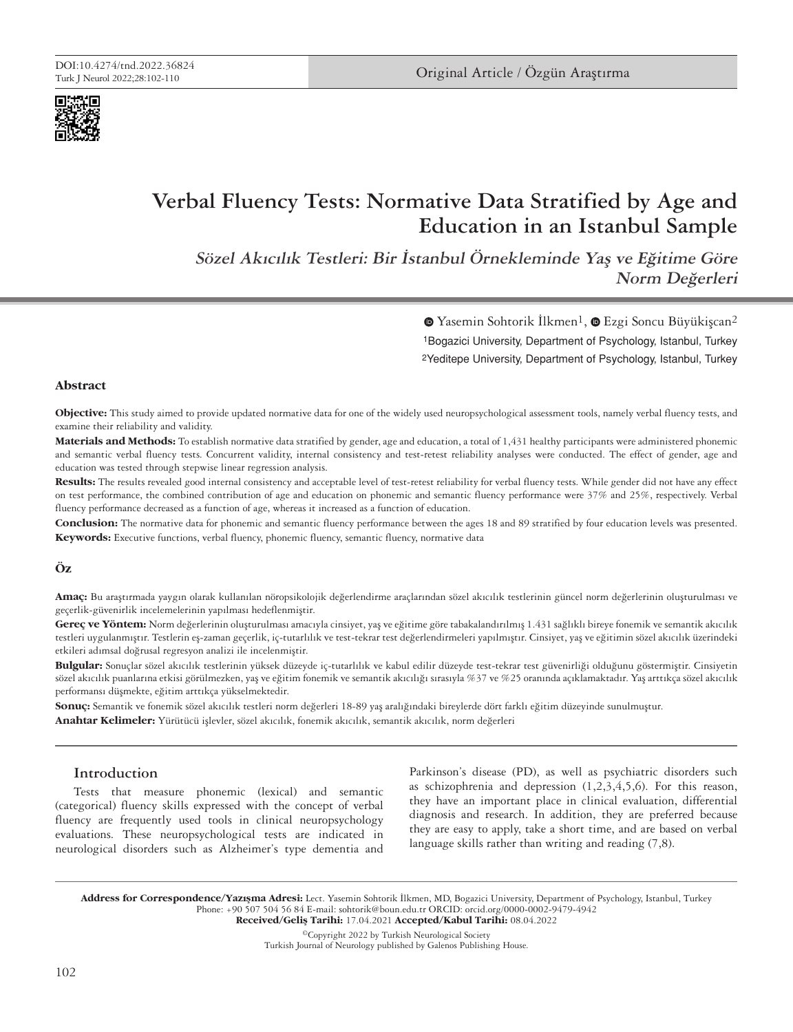



# **Verbal Fluency Tests: Normative Data Stratified by Age and Education in an Istanbul Sample**

**Sözel Akıcılık Testleri: Bir İstanbul Örnekleminde Yaş ve Eğitime Göre Norm Değerleri**

> 1Bogazici University, Department of Psychology, Istanbul, Turkey 2Yeditepe University, Department of Psychology, Istanbul, Turkey  $\bullet$ Yasemin Sohtorik İlkmen<sup>1</sup>,  $\bullet$  Ezgi Soncu Büyükişcan<sup>2</sup>

#### **Abstract**

**Objective:** This study aimed to provide updated normative data for one of the widely used neuropsychological assessment tools, namely verbal fluency tests, and examine their reliability and validity.

**Materials and Methods:** To establish normative data stratified by gender, age and education, a total of 1,431 healthy participants were administered phonemic and semantic verbal fluency tests. Concurrent validity, internal consistency and test-retest reliability analyses were conducted. The effect of gender, age and education was tested through stepwise linear regression analysis.

**Results:** The results revealed good internal consistency and acceptable level of test-retest reliability for verbal fluency tests. While gender did not have any effect on test performance, the combined contribution of age and education on phonemic and semantic fluency performance were 37% and 25%, respectively. Verbal fluency performance decreased as a function of age, whereas it increased as a function of education.

**Conclusion:** The normative data for phonemic and semantic fluency performance between the ages 18 and 89 stratified by four education levels was presented. **Keywords:** Executive functions, verbal fluency, phonemic fluency, semantic fluency, normative data

# **Öz**

**Amaç:** Bu araştırmada yaygın olarak kullanılan nöropsikolojik değerlendirme araçlarından sözel akıcılık testlerinin güncel norm değerlerinin oluşturulması ve geçerlik-güvenirlik incelemelerinin yapılması hedeflenmiştir.

**Gereç ve Yöntem:** Norm değerlerinin oluşturulması amacıyla cinsiyet, yaş ve eğitime göre tabakalandırılmış 1.431 sağlıklı bireye fonemik ve semantik akıcılık testleri uygulanmıştır. Testlerin eş-zaman geçerlik, iç-tutarlılık ve test-tekrar test değerlendirmeleri yapılmıştır. Cinsiyet, yaş ve eğitimin sözel akıcılık üzerindeki etkileri adımsal doğrusal regresyon analizi ile incelenmiştir.

**Bulgular:** Sonuçlar sözel akıcılık testlerinin yüksek düzeyde iç-tutarlılık ve kabul edilir düzeyde test-tekrar test güvenirliği olduğunu göstermiştir. Cinsiyetin sözel akıcılık puanlarına etkisi görülmezken, yaş ve eğitim fonemik ve semantik akıcılığı sırasıyla %37 ve %25 oranında açıklamaktadır. Yaş arttıkça sözel akıcılık performansı düşmekte, eğitim arttıkça yükselmektedir.

**Sonuç:** Semantik ve fonemik sözel akıcılık testleri norm değerleri 18-89 yaş aralığındaki bireylerde dört farklı eğitim düzeyinde sunulmuştur. **Anahtar Kelimeler:** Yürütücü işlevler, sözel akıcılık, fonemik akıcılık, semantik akıcılık, norm değerleri

# **Introduction**

Tests that measure phonemic (lexical) and semantic (categorical) fluency skills expressed with the concept of verbal fluency are frequently used tools in clinical neuropsychology evaluations. These neuropsychological tests are indicated in neurological disorders such as Alzheimer's type dementia and Parkinson's disease (PD), as well as psychiatric disorders such as schizophrenia and depression  $(1,2,3,4,5,6)$ . For this reason, they have an important place in clinical evaluation, differential diagnosis and research. In addition, they are preferred because they are easy to apply, take a short time, and are based on verbal language skills rather than writing and reading (7,8).

Address for Correspondence/Yazışma Adresi: Lect. Yasemin Sohtorik İlkmen, MD, Bogazici University, Department of Psychology, Istanbul, Turkey Phone: +90 507 504 56 84 E-mail: sohtorik@boun.edu.tr ORCID: orcid.org/0000-0002-9479-4942 Received/Geliş Tarihi: 17.04.2021 Accepted/Kabul Tarihi: 08.04.2022

©Copyright 2022 by Turkish Neurological Society Turkish Journal of Neurology published by Galenos Publishing House.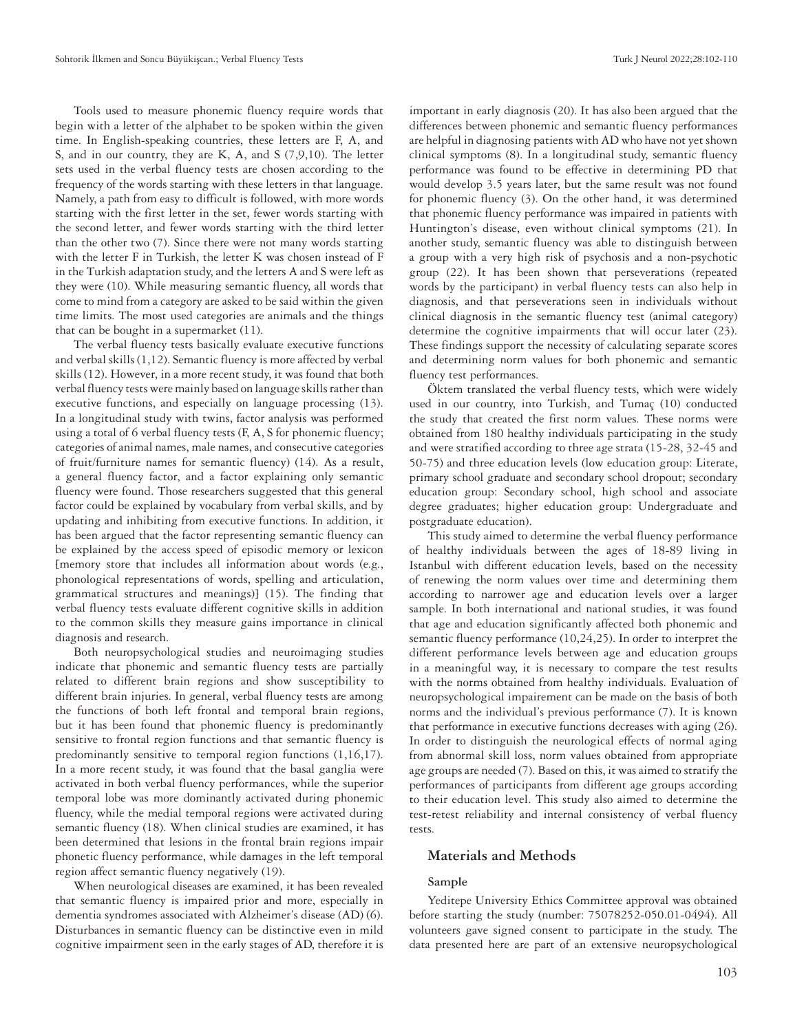Tools used to measure phonemic fluency require words that begin with a letter of the alphabet to be spoken within the given time. In English-speaking countries, these letters are F, A, and S, and in our country, they are K, A, and S (7,9,10). The letter sets used in the verbal fluency tests are chosen according to the frequency of the words starting with these letters in that language. Namely, a path from easy to difficult is followed, with more words starting with the first letter in the set, fewer words starting with the second letter, and fewer words starting with the third letter than the other two (7). Since there were not many words starting with the letter F in Turkish, the letter K was chosen instead of F in the Turkish adaptation study, and the letters A and S were left as they were (10). While measuring semantic fluency, all words that come to mind from a category are asked to be said within the given time limits. The most used categories are animals and the things that can be bought in a supermarket (11).

The verbal fluency tests basically evaluate executive functions and verbal skills (1,12). Semantic fluency is more affected by verbal skills (12). However, in a more recent study, it was found that both verbal fluency tests were mainly based on language skills rather than executive functions, and especially on language processing (13). In a longitudinal study with twins, factor analysis was performed using a total of 6 verbal fluency tests (F, A, S for phonemic fluency; categories of animal names, male names, and consecutive categories of fruit/furniture names for semantic fluency) (14). As a result, a general fluency factor, and a factor explaining only semantic fluency were found. Those researchers suggested that this general factor could be explained by vocabulary from verbal skills, and by updating and inhibiting from executive functions. In addition, it has been argued that the factor representing semantic fluency can be explained by the access speed of episodic memory or lexicon [memory store that includes all information about words (e.g., phonological representations of words, spelling and articulation, grammatical structures and meanings)] (15). The finding that verbal fluency tests evaluate different cognitive skills in addition to the common skills they measure gains importance in clinical diagnosis and research.

Both neuropsychological studies and neuroimaging studies indicate that phonemic and semantic fluency tests are partially related to different brain regions and show susceptibility to different brain injuries. In general, verbal fluency tests are among the functions of both left frontal and temporal brain regions, but it has been found that phonemic fluency is predominantly sensitive to frontal region functions and that semantic fluency is predominantly sensitive to temporal region functions (1,16,17). In a more recent study, it was found that the basal ganglia were activated in both verbal fluency performances, while the superior temporal lobe was more dominantly activated during phonemic fluency, while the medial temporal regions were activated during semantic fluency (18). When clinical studies are examined, it has been determined that lesions in the frontal brain regions impair phonetic fluency performance, while damages in the left temporal region affect semantic fluency negatively (19).

When neurological diseases are examined, it has been revealed that semantic fluency is impaired prior and more, especially in dementia syndromes associated with Alzheimer's disease (AD) (6). Disturbances in semantic fluency can be distinctive even in mild cognitive impairment seen in the early stages of AD, therefore it is important in early diagnosis (20). It has also been argued that the differences between phonemic and semantic fluency performances are helpful in diagnosing patients with AD who have not yet shown clinical symptoms (8). In a longitudinal study, semantic fluency performance was found to be effective in determining PD that would develop 3.5 years later, but the same result was not found for phonemic fluency (3). On the other hand, it was determined that phonemic fluency performance was impaired in patients with Huntington's disease, even without clinical symptoms (21). In another study, semantic fluency was able to distinguish between a group with a very high risk of psychosis and a non-psychotic group (22). It has been shown that perseverations (repeated words by the participant) in verbal fluency tests can also help in diagnosis, and that perseverations seen in individuals without clinical diagnosis in the semantic fluency test (animal category) determine the cognitive impairments that will occur later (23). These findings support the necessity of calculating separate scores and determining norm values for both phonemic and semantic fluency test performances.

Öktem translated the verbal fluency tests, which were widely used in our country, into Turkish, and Tumaç (10) conducted the study that created the first norm values. These norms were obtained from 180 healthy individuals participating in the study and were stratified according to three age strata (15-28, 32-45 and 50-75) and three education levels (low education group: Literate, primary school graduate and secondary school dropout; secondary education group: Secondary school, high school and associate degree graduates; higher education group: Undergraduate and postgraduate education).

This study aimed to determine the verbal fluency performance of healthy individuals between the ages of 18-89 living in Istanbul with different education levels, based on the necessity of renewing the norm values over time and determining them according to narrower age and education levels over a larger sample. In both international and national studies, it was found that age and education significantly affected both phonemic and semantic fluency performance (10,24,25). In order to interpret the different performance levels between age and education groups in a meaningful way, it is necessary to compare the test results with the norms obtained from healthy individuals. Evaluation of neuropsychological impairement can be made on the basis of both norms and the individual's previous performance (7). It is known that performance in executive functions decreases with aging (26). In order to distinguish the neurological effects of normal aging from abnormal skill loss, norm values obtained from appropriate age groups are needed (7). Based on this, it was aimed to stratify the performances of participants from different age groups according to their education level. This study also aimed to determine the test-retest reliability and internal consistency of verbal fluency tests.

# **Materials and Methods**

#### **Sample**

Yeditepe University Ethics Committee approval was obtained before starting the study (number: 75078252-050.01-0494). All volunteers gave signed consent to participate in the study. The data presented here are part of an extensive neuropsychological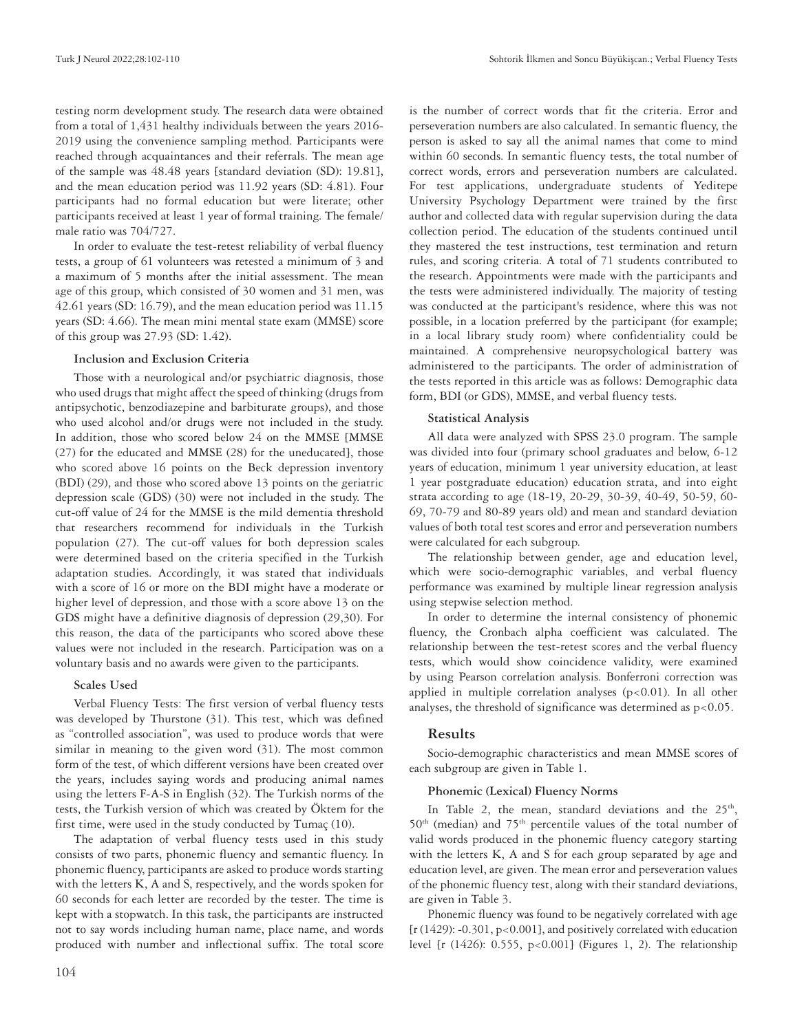testing norm development study. The research data were obtained from a total of 1,431 healthy individuals between the years 2016- 2019 using the convenience sampling method. Participants were reached through acquaintances and their referrals. The mean age of the sample was 48.48 years [standard deviation (SD): 19.81], and the mean education period was 11.92 years (SD: 4.81). Four participants had no formal education but were literate; other participants received at least 1 year of formal training. The female/ male ratio was 704/727.

In order to evaluate the test-retest reliability of verbal fluency tests, a group of 61 volunteers was retested a minimum of 3 and a maximum of 5 months after the initial assessment. The mean age of this group, which consisted of 30 women and 31 men, was 42.61 years (SD: 16.79), and the mean education period was 11.15 years (SD: 4.66). The mean mini mental state exam (MMSE) score of this group was 27.93 (SD: 1.42).

#### **Inclusion and Exclusion Criteria**

Those with a neurological and/or psychiatric diagnosis, those who used drugs that might affect the speed of thinking (drugs from antipsychotic, benzodiazepine and barbiturate groups), and those who used alcohol and/or drugs were not included in the study. In addition, those who scored below 24 on the MMSE [MMSE (27) for the educated and MMSE (28) for the uneducated], those who scored above 16 points on the Beck depression inventory (BDI) (29), and those who scored above 13 points on the geriatric depression scale (GDS) (30) were not included in the study. The cut-off value of 24 for the MMSE is the mild dementia threshold that researchers recommend for individuals in the Turkish population (27). The cut-off values for both depression scales were determined based on the criteria specified in the Turkish adaptation studies. Accordingly, it was stated that individuals with a score of 16 or more on the BDI might have a moderate or higher level of depression, and those with a score above 13 on the GDS might have a definitive diagnosis of depression (29,30). For this reason, the data of the participants who scored above these values were not included in the research. Participation was on a voluntary basis and no awards were given to the participants.

#### **Scales Used**

Verbal Fluency Tests: The first version of verbal fluency tests was developed by Thurstone (31). This test, which was defined as "controlled association", was used to produce words that were similar in meaning to the given word (31). The most common form of the test, of which different versions have been created over the years, includes saying words and producing animal names using the letters F-A-S in English (32). The Turkish norms of the tests, the Turkish version of which was created by Öktem for the first time, were used in the study conducted by Tumaç (10).

The adaptation of verbal fluency tests used in this study consists of two parts, phonemic fluency and semantic fluency. In phonemic fluency, participants are asked to produce words starting with the letters K, A and S, respectively, and the words spoken for 60 seconds for each letter are recorded by the tester. The time is kept with a stopwatch. In this task, the participants are instructed not to say words including human name, place name, and words produced with number and inflectional suffix. The total score

is the number of correct words that fit the criteria. Error and perseveration numbers are also calculated. In semantic fluency, the person is asked to say all the animal names that come to mind within 60 seconds. In semantic fluency tests, the total number of correct words, errors and perseveration numbers are calculated. For test applications, undergraduate students of Yeditepe University Psychology Department were trained by the first author and collected data with regular supervision during the data collection period. The education of the students continued until they mastered the test instructions, test termination and return rules, and scoring criteria. A total of 71 students contributed to the research. Appointments were made with the participants and the tests were administered individually. The majority of testing was conducted at the participant's residence, where this was not possible, in a location preferred by the participant (for example; in a local library study room) where confidentiality could be maintained. A comprehensive neuropsychological battery was administered to the participants. The order of administration of the tests reported in this article was as follows: Demographic data form, BDI (or GDS), MMSE, and verbal fluency tests.

#### **Statistical Analysis**

All data were analyzed with SPSS 23.0 program. The sample was divided into four (primary school graduates and below, 6-12 years of education, minimum 1 year university education, at least 1 year postgraduate education) education strata, and into eight strata according to age (18-19, 20-29, 30-39, 40-49, 50-59, 60- 69, 70-79 and 80-89 years old) and mean and standard deviation values of both total test scores and error and perseveration numbers were calculated for each subgroup.

The relationship between gender, age and education level, which were socio-demographic variables, and verbal fluency performance was examined by multiple linear regression analysis using stepwise selection method.

In order to determine the internal consistency of phonemic fluency, the Cronbach alpha coefficient was calculated. The relationship between the test-retest scores and the verbal fluency tests, which would show coincidence validity, were examined by using Pearson correlation analysis. Bonferroni correction was applied in multiple correlation analyses  $(p<0.01)$ . In all other analyses, the threshold of significance was determined as  $p < 0.05$ .

# **Results**

Socio-demographic characteristics and mean MMSE scores of each subgroup are given in Table 1.

#### **Phonemic (Lexical) Fluency Norms**

In Table 2, the mean, standard deviations and the 25<sup>th</sup>, 50<sup>th</sup> (median) and 75<sup>th</sup> percentile values of the total number of valid words produced in the phonemic fluency category starting with the letters K, A and S for each group separated by age and education level, are given. The mean error and perseveration values of the phonemic fluency test, along with their standard deviations, are given in Table 3.

Phonemic fluency was found to be negatively correlated with age  $[r(1429): -0.301, p<0.001]$ , and positively correlated with education level [r (1426): 0.555, p<0.001] (Figures 1, 2). The relationship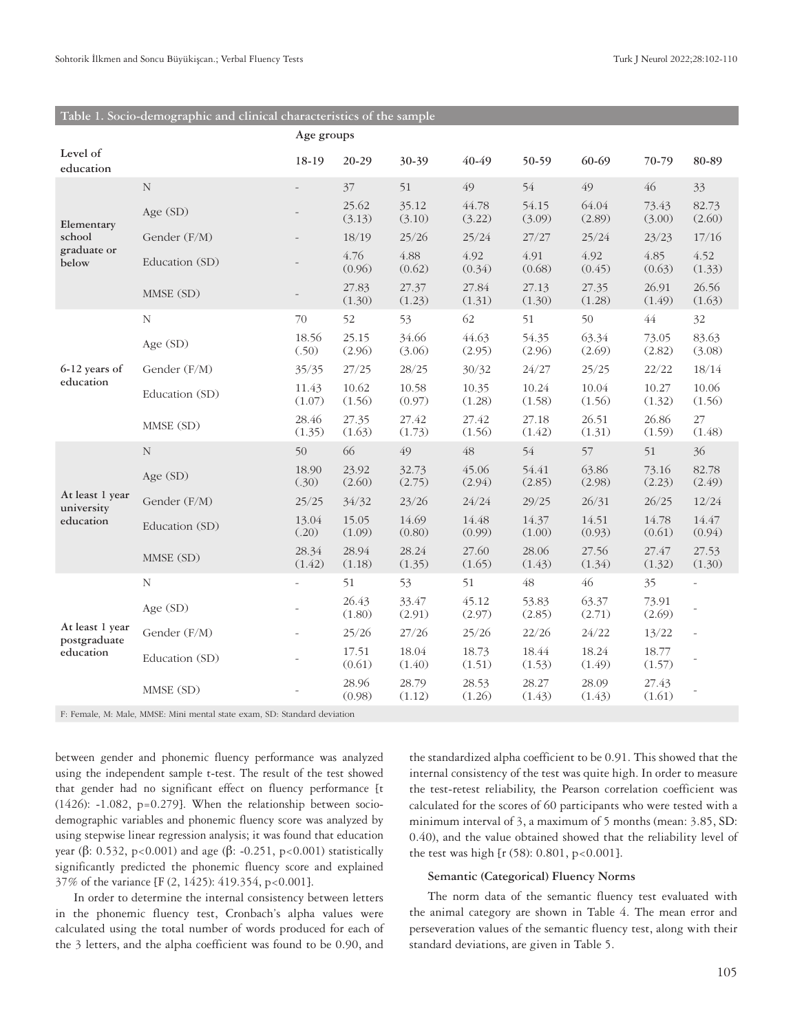|                                              |                | Age groups      |                 |                 |                 |                 |                 |                 |                 |
|----------------------------------------------|----------------|-----------------|-----------------|-----------------|-----------------|-----------------|-----------------|-----------------|-----------------|
| Level of<br>education                        |                | 18-19           | 20-29           | 30-39           | 40-49           | 50-59           | 60-69           | 70-79           | 80-89           |
| Elementary<br>school<br>graduate or<br>below | $\mathbf N$    |                 | 37              | 51              | 49              | 54              | 49              | 46              | 33              |
|                                              | Age $(SD)$     |                 | 25.62<br>(3.13) | 35.12<br>(3.10) | 44.78<br>(3.22) | 54.15<br>(3.09) | 64.04<br>(2.89) | 73.43<br>(3.00) | 82.73<br>(2.60) |
|                                              | Gender (F/M)   |                 | 18/19           | 25/26           | 25/24           | 27/27           | 25/24           | 23/23           | 17/16           |
|                                              | Education (SD) |                 | 4.76<br>(0.96)  | 4.88<br>(0.62)  | 4.92<br>(0.34)  | 4.91<br>(0.68)  | 4.92<br>(0.45)  | 4.85<br>(0.63)  | 4.52<br>(1.33)  |
|                                              | MMSE (SD)      |                 | 27.83<br>(1.30) | 27.37<br>(1.23) | 27.84<br>(1.31) | 27.13<br>(1.30) | 27.35<br>(1.28) | 26.91<br>(1.49) | 26.56<br>(1.63) |
|                                              | N              | 70              | 52              | 53              | 62              | 51              | 50              | $\sqrt{44}$     | 32              |
|                                              | Age (SD)       | 18.56<br>(.50)  | 25.15<br>(2.96) | 34.66<br>(3.06) | 44.63<br>(2.95) | 54.35<br>(2.96) | 63.34<br>(2.69) | 73.05<br>(2.82) | 83.63<br>(3.08) |
| 6-12 years of<br>education                   | Gender (F/M)   | 35/35           | 27/25           | 28/25           | 30/32           | 24/27           | 25/25           | 22/22           | 18/14           |
|                                              | Education (SD) | 11.43<br>(1.07) | 10.62<br>(1.56) | 10.58<br>(0.97) | 10.35<br>(1.28) | 10.24<br>(1.58) | 10.04<br>(1.56) | 10.27<br>(1.32) | 10.06<br>(1.56) |
|                                              | MMSE (SD)      | 28.46<br>(1.35) | 27.35<br>(1.63) | 27.42<br>(1.73) | 27.42<br>(1.56) | 27.18<br>(1.42) | 26.51<br>(1.31) | 26.86<br>(1.59) | 27<br>(1.48)    |
|                                              | $\mathbf N$    | 50              | 66              | 49              | 48              | 54              | 57              | 51              | 36              |
|                                              | Age (SD)       | 18.90<br>(.30)  | 23.92<br>(2.60) | 32.73<br>(2.75) | 45.06<br>(2.94) | 54.41<br>(2.85) | 63.86<br>(2.98) | 73.16<br>(2.23) | 82.78<br>(2.49) |
| At least 1 year<br>university                | Gender (F/M)   | 25/25           | 34/32           | 23/26           | 24/24           | 29/25           | 26/31           | 26/25           | 12/24           |
| education                                    | Education (SD) | 13.04<br>(.20)  | 15.05<br>(1.09) | 14.69<br>(0.80) | 14.48<br>(0.99) | 14.37<br>(1.00) | 14.51<br>(0.93) | 14.78<br>(0.61) | 14.47<br>(0.94) |
|                                              | MMSE (SD)      | 28.34<br>(1.42) | 28.94<br>(1.18) | 28.24<br>(1.35) | 27.60<br>(1.65) | 28.06<br>(1.43) | 27.56<br>(1.34) | 27.47<br>(1.32) | 27.53<br>(1.30) |
|                                              | N              |                 | 51              | 53              | 51              | $\sqrt{48}$     | 46              | 35              |                 |
|                                              | Age (SD)       |                 | 26.43<br>(1.80) | 33.47<br>(2.91) | 45.12<br>(2.97) | 53.83<br>(2.85) | 63.37<br>(2.71) | 73.91<br>(2.69) |                 |
| At least 1 year<br>postgraduate              | Gender (F/M)   |                 | 25/26           | 27/26           | 25/26           | 22/26           | 24/22           | 13/22           |                 |
| education                                    | Education (SD) |                 | 17.51<br>(0.61) | 18.04<br>(1.40) | 18.73<br>(1.51) | 18.44<br>(1.53) | 18.24<br>(1.49) | 18.77<br>(1.57) |                 |
|                                              | MMSE (SD)      |                 | 28.96<br>(0.98) | 28.79<br>(1.12) | 28.53<br>(1.26) | 28.27<br>(1.43) | 28.09<br>(1.43) | 27.43<br>(1.61) |                 |

#### **Table 1. Socio-demographic and clinical characteristics of the sample**

F: Female, M: Male, MMSE: Mini mental state exam, SD: Standard deviation

between gender and phonemic fluency performance was analyzed using the independent sample t-test. The result of the test showed that gender had no significant effect on fluency performance [t (1426): -1.082, p=0.279]. When the relationship between sociodemographic variables and phonemic fluency score was analyzed by using stepwise linear regression analysis; it was found that education year (β: 0.532, p<0.001) and age (β: -0.251, p<0.001) statistically significantly predicted the phonemic fluency score and explained 37% of the variance [F (2, 1425): 419.354, p<0.001].

In order to determine the internal consistency between letters in the phonemic fluency test, Cronbach's alpha values were calculated using the total number of words produced for each of the 3 letters, and the alpha coefficient was found to be 0.90, and

the standardized alpha coefficient to be 0.91. This showed that the internal consistency of the test was quite high. In order to measure the test-retest reliability, the Pearson correlation coefficient was calculated for the scores of 60 participants who were tested with a minimum interval of 3, a maximum of 5 months (mean: 3.85, SD: 0.40), and the value obtained showed that the reliability level of the test was high [ $r$  (58): 0.801, p<0.001].

#### **Semantic (Categorical) Fluency Norms**

The norm data of the semantic fluency test evaluated with the animal category are shown in Table 4. The mean error and perseveration values of the semantic fluency test, along with their standard deviations, are given in Table 5.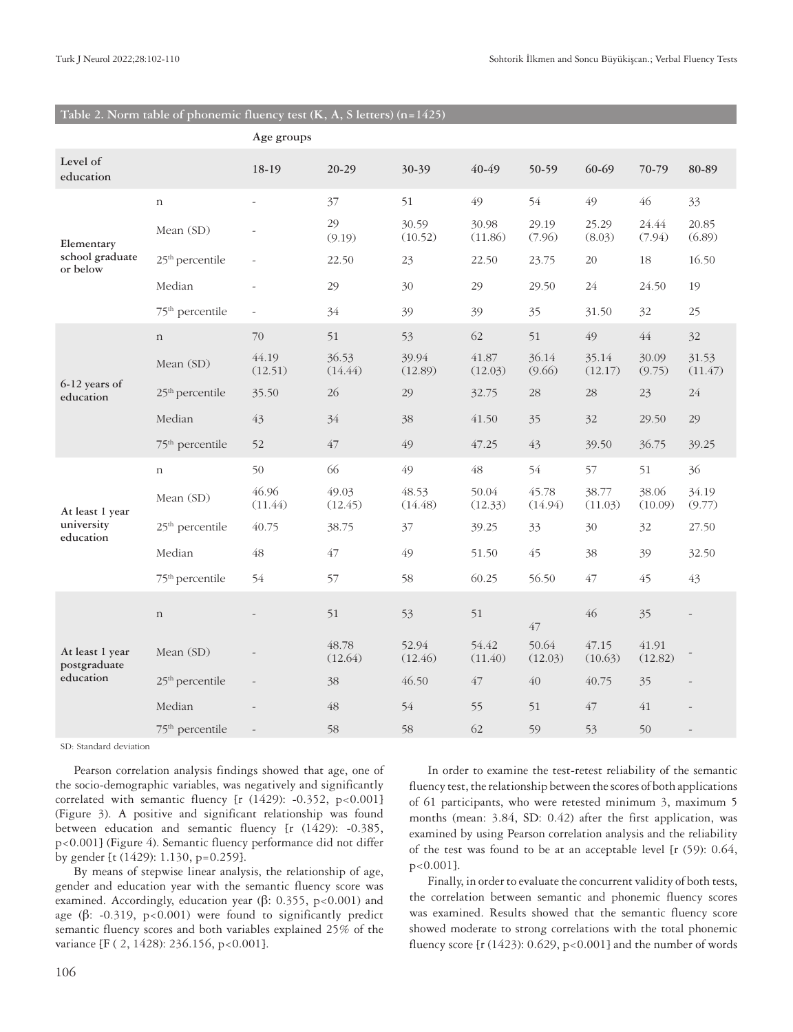|                                 |                             | Age groups               |                  |                  |                  |                  |                  |                  |                  |
|---------------------------------|-----------------------------|--------------------------|------------------|------------------|------------------|------------------|------------------|------------------|------------------|
| Level of<br>education           |                             | 18-19                    | $20 - 29$        | 30-39            | 40-49            | 50-59            | 60-69            | 70-79            | 80-89            |
|                                 | $\mathbf n$                 |                          | 37               | 51               | 49               | 54               | 49               | 46               | 33               |
| Elementary                      | Mean (SD)                   |                          | 29<br>(9.19)     | 30.59<br>(10.52) | 30.98<br>(11.86) | 29.19<br>(7.96)  | 25.29<br>(8.03)  | 24.44<br>(7.94)  | 20.85<br>(6.89)  |
| school graduate<br>or below     | 25 <sup>th</sup> percentile |                          | 22.50            | 23               | 22.50            | 23.75            | $20\,$           | 18               | 16.50            |
|                                 | Median                      |                          | 29               | 30               | 29               | 29.50            | 24               | 24.50            | 19               |
|                                 | 75 <sup>th</sup> percentile | $\overline{\phantom{a}}$ | 34               | 39               | 39               | 35               | 31.50            | 32               | 25               |
|                                 | $\mathbf n$                 | 70                       | 51               | 53               | 62               | 51               | 49               | 44               | 32               |
|                                 | Mean (SD)                   | 44.19<br>(12.51)         | 36.53<br>(14.44) | 39.94<br>(12.89) | 41.87<br>(12.03) | 36.14<br>(9.66)  | 35.14<br>(12.17) | 30.09<br>(9.75)  | 31.53<br>(11.47) |
| 6-12 years of<br>education      | 25 <sup>th</sup> percentile | 35.50                    | 26               | 29               | 32.75            | $28\,$           | 28               | 23               | 24               |
|                                 | Median                      | 43                       | 34               | 38               | 41.50            | 35               | 32               | 29.50            | 29               |
|                                 | 75 <sup>th</sup> percentile | 52                       | 47               | 49               | 47.25            | 43               | 39.50            | 36.75            | 39.25            |
|                                 | $\mathbf n$                 | 50                       | 66               | 49               | $\sqrt{48}$      | 54               | 57               | 51               | 36               |
| At least 1 year                 | Mean (SD)                   | 46.96<br>(11.44)         | 49.03<br>(12.45) | 48.53<br>(14.48) | 50.04<br>(12.33) | 45.78<br>(14.94) | 38.77<br>(11.03) | 38.06<br>(10.09) | 34.19<br>(9.77)  |
| university<br>education         | 25 <sup>th</sup> percentile | 40.75                    | 38.75            | 37               | 39.25            | 33               | 30               | 32               | 27.50            |
|                                 | Median                      | 48                       | 47               | 49               | 51.50            | 45               | 38               | 39               | 32.50            |
|                                 | 75 <sup>th</sup> percentile | 54                       | 57               | 58               | 60.25            | 56.50            | 47               | 45               | 43               |
|                                 | $\mathbf n$                 |                          | 51               | 53               | 51               | $47\,$           | 46               | 35               |                  |
| At least 1 year<br>postgraduate | Mean (SD)                   |                          | 48.78<br>(12.64) | 52.94<br>(12.46) | 54.42<br>(11.40) | 50.64<br>(12.03) | 47.15<br>(10.63) | 41.91<br>(12.82) |                  |
| education                       | 25 <sup>th</sup> percentile |                          | 38               | 46.50            | 47               | $40\,$           | 40.75            | 35               |                  |
|                                 | Median                      |                          | 48               | 54               | 55               | 51               | 47               | 41               |                  |
|                                 | 75 <sup>th</sup> percentile |                          | 58               | 58               | 62               | 59               | 53               | 50               |                  |

#### **Table 2. Norm table of phonemic fluency test (K, A, S letters) (n=1425)**

SD: Standard deviation

Pearson correlation analysis findings showed that age, one of the socio-demographic variables, was negatively and significantly correlated with semantic fluency  $[r (1429): -0.352, p<0.001]$ (Figure 3). A positive and significant relationship was found between education and semantic fluency [r (1429): -0.385, p<0.001] (Figure 4). Semantic fluency performance did not differ by gender [t (1429): 1.130, p=0.259].

By means of stepwise linear analysis, the relationship of age, gender and education year with the semantic fluency score was examined. Accordingly, education year (β: 0.355, p<0.001) and age ( $\beta$ : -0.319, p<0.001) were found to significantly predict semantic fluency scores and both variables explained 25% of the variance [F ( 2, 1428): 236.156, p<0.001].

In order to examine the test-retest reliability of the semantic fluency test, the relationship between the scores of both applications of 61 participants, who were retested minimum 3, maximum 5 months (mean: 3.84, SD: 0.42) after the first application, was examined by using Pearson correlation analysis and the reliability of the test was found to be at an acceptable level [r (59): 0.64, p<0.001].

Finally, in order to evaluate the concurrent validity of both tests, the correlation between semantic and phonemic fluency scores was examined. Results showed that the semantic fluency score showed moderate to strong correlations with the total phonemic fluency score [r (1423): 0.629, p<0.001] and the number of words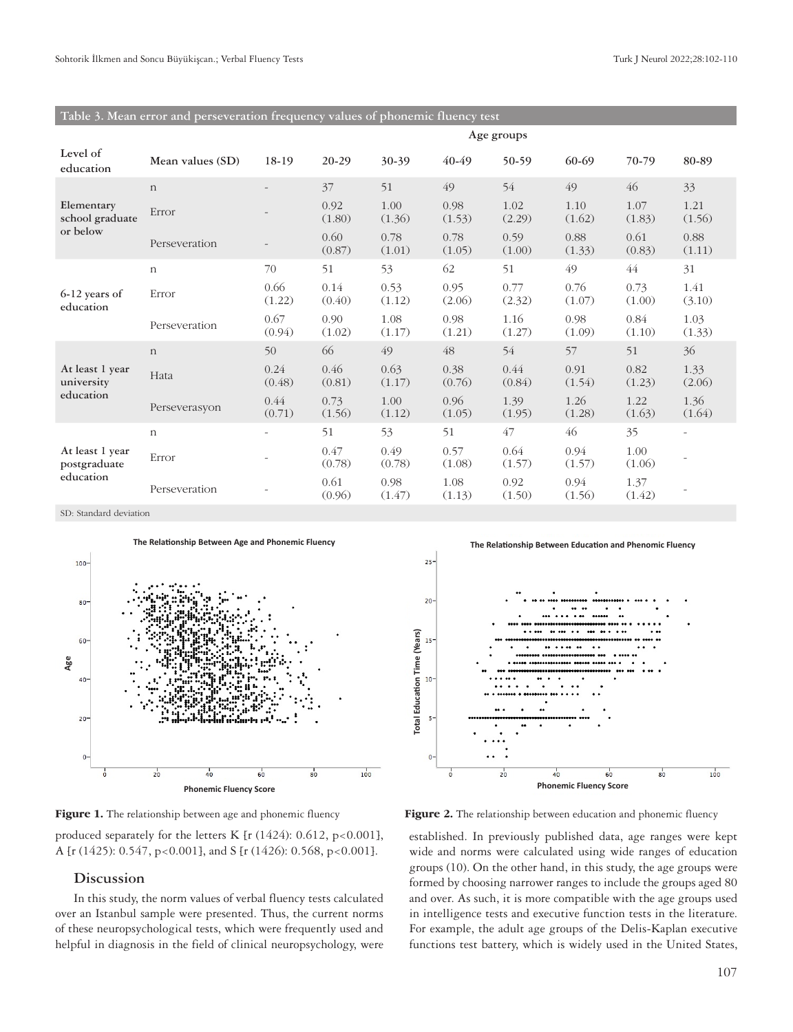| rabic ). mean critical and perseveration negueiley values of phonenine muchey test |                  |                          |                |                |                |                |                |                |                          |  |
|------------------------------------------------------------------------------------|------------------|--------------------------|----------------|----------------|----------------|----------------|----------------|----------------|--------------------------|--|
|                                                                                    |                  | Age groups               |                |                |                |                |                |                |                          |  |
| Level of<br>education                                                              | Mean values (SD) | 18-19                    | 20-29          | 30-39          | 40-49          | 50-59          | 60-69          | 70-79          | 80-89                    |  |
|                                                                                    | $\mathbf n$      |                          | 37             | 51             | 49             | 54             | 49             | 46             | 33                       |  |
| Elementary<br>school graduate                                                      | Error            |                          | 0.92<br>(1.80) | 1.00<br>(1.36) | 0.98<br>(1.53) | 1.02<br>(2.29) | 1.10<br>(1.62) | 1.07<br>(1.83) | 1.21<br>(1.56)           |  |
| or below                                                                           | Perseveration    | $\overline{\phantom{a}}$ | 0.60<br>(0.87) | 0.78<br>(1.01) | 0.78<br>(1.05) | 0.59<br>(1.00) | 0.88<br>(1.33) | 0.61<br>(0.83) | 0.88<br>(1.11)           |  |
| 6-12 years of<br>education                                                         | $\mathbf n$      | 70                       | 51             | 53             | 62             | 51             | 49             | 44             | 31                       |  |
|                                                                                    | Error            | 0.66<br>(1.22)           | 0.14<br>(0.40) | 0.53<br>(1.12) | 0.95<br>(2.06) | 0.77<br>(2.32) | 0.76<br>(1.07) | 0.73<br>(1.00) | 1.41<br>(3.10)           |  |
|                                                                                    | Perseveration    | 0.67<br>(0.94)           | 0.90<br>(1.02) | 1.08<br>(1.17) | 0.98<br>(1.21) | 1.16<br>(1.27) | 0.98<br>(1.09) | 0.84<br>(1.10) | 1.03<br>(1.33)           |  |
|                                                                                    | $\mathbf n$      | 50                       | 66             | 49             | 48             | 54             | 57             | 51             | 36                       |  |
| At least 1 year<br>university                                                      | Hata             | 0.24<br>(0.48)           | 0.46<br>(0.81) | 0.63<br>(1.17) | 0.38<br>(0.76) | 0.44<br>(0.84) | 0.91<br>(1.54) | 0.82<br>(1.23) | 1.33<br>(2.06)           |  |
| education                                                                          | Perseverasyon    | 0.44<br>(0.71)           | 0.73<br>(1.56) | 1.00<br>(1.12) | 0.96<br>(1.05) | 1.39<br>(1.95) | 1.26<br>(1.28) | 1.22<br>(1.63) | 1.36<br>(1.64)           |  |
|                                                                                    | $\mathbf n$      | $\sim$                   | 51             | 53             | 51             | 47             | 46             | 35             | $\overline{\phantom{a}}$ |  |
| At least 1 year<br>postgraduate<br>education                                       | Error            |                          | 0.47<br>(0.78) | 0.49<br>(0.78) | 0.57<br>(1.08) | 0.64<br>(1.57) | 0.94<br>(1.57) | 1.00<br>(1.06) |                          |  |
|                                                                                    | Perseveration    |                          | 0.61<br>(0.96) | 0.98<br>(1.47) | 1.08<br>(1.13) | 0.92<br>(1.50) | 0.94<br>(1.56) | 1.37<br>(1.42) |                          |  |

**Table 3. Mean error and perseveration frequency values of phonemic fluency test**

SD: Standard deviation



produced separately for the letters K [r  $(1424): 0.612$ , p<0.001], A [r (1425): 0.547, p<0.001], and S [r (1426): 0.568, p<0.001].

# **Discussion**

In this study, the norm values of verbal fluency tests calculated over an Istanbul sample were presented. Thus, the current norms of these neuropsychological tests, which were frequently used and helpful in diagnosis in the field of clinical neuropsychology, were

**The Relationship Between Education and Phenomic Fluency**



**Figure 1.** The relationship between age and phonemic fluency **Figure 2.** The relationship between education and phonemic fluency

established. In previously published data, age ranges were kept wide and norms were calculated using wide ranges of education groups (10). On the other hand, in this study, the age groups were formed by choosing narrower ranges to include the groups aged 80 and over. As such, it is more compatible with the age groups used in intelligence tests and executive function tests in the literature. For example, the adult age groups of the Delis-Kaplan executive functions test battery, which is widely used in the United States,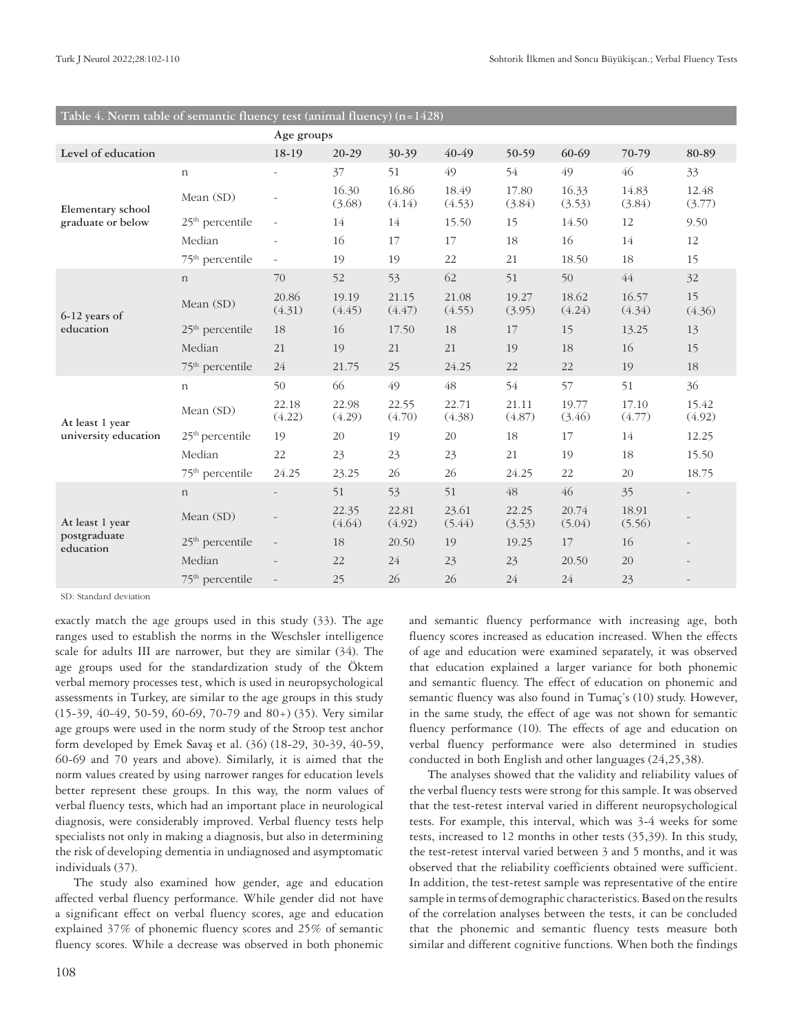|                           |                             | Age groups               |                 |                 |                 |                 |                 |                 |                          |
|---------------------------|-----------------------------|--------------------------|-----------------|-----------------|-----------------|-----------------|-----------------|-----------------|--------------------------|
| Level of education        |                             | 18-19                    | $20-29$         | 30-39           | 40-49           | 50-59           | 60-69           | 70-79           | 80-89                    |
|                           | $\mathbf n$                 |                          | 37              | 51              | 49              | 54              | 49              | 46              | 33                       |
| Elementary school         | Mean (SD)                   |                          | 16.30<br>(3.68) | 16.86<br>(4.14) | 18.49<br>(4.53) | 17.80<br>(3.84) | 16.33<br>(3.53) | 14.83<br>(3.84) | 12.48<br>(3.77)          |
| graduate or below         | 25 <sup>th</sup> percentile | $\overline{\phantom{a}}$ | 14              | 14              | 15.50           | 15              | 14.50           | 12              | 9.50                     |
|                           | Median                      | $\bar{\phantom{a}}$      | 16              | 17              | 17              | 18              | 16              | 14              | 12                       |
|                           | 75 <sup>th</sup> percentile | $\equiv$                 | 19              | 19              | 22              | 21              | 18.50           | 18              | 15                       |
|                           | $\mathbf n$                 | 70                       | 52              | 53              | 62              | 51              | 50              | $\sqrt{44}$     | 32                       |
| 6-12 years of             | Mean (SD)                   | 20.86<br>(4.31)          | 19.19<br>(4.45) | 21.15<br>(4.47) | 21.08<br>(4.55) | 19.27<br>(3.95) | 18.62<br>(4.24) | 16.57<br>(4.34) | 15<br>(4.36)             |
| education                 | $25th$ percentile           | 18                       | 16              | 17.50           | 18              | 17              | 15              | 13.25           | 13                       |
|                           | Median                      | 21                       | 19              | 21              | 21              | 19              | 18              | 16              | 15                       |
|                           | 75 <sup>th</sup> percentile | 24                       | 21.75           | 25              | 24.25           | 22              | 22              | 19              | 18                       |
|                           | $\mathbf n$                 | 50                       | 66              | 49              | 48              | 54              | 57              | 51              | 36                       |
| At least 1 year           | Mean (SD)                   | 22.18<br>(4.22)          | 22.98<br>(4.29) | 22.55<br>(4.70) | 22.71<br>(4.38) | 21.11<br>(4.87) | 19.77<br>(3.46) | 17.10<br>(4.77) | 15.42<br>(4.92)          |
| university education      | 25 <sup>th</sup> percentile | 19                       | 20              | 19              | 20              | 18              | 17              | 14              | 12.25                    |
|                           | Median                      | 22                       | 23              | 23              | 23              | 21              | 19              | 18              | 15.50                    |
|                           | 75 <sup>th</sup> percentile | 24.25                    | 23.25           | 26              | 26              | 24.25           | 22              | 20              | 18.75                    |
|                           | $\mathbf n$                 |                          | 51              | 53              | 51              | 48              | 46              | 35              | $\overline{\phantom{0}}$ |
| At least 1 year           | Mean (SD)                   | $\overline{\phantom{a}}$ | 22.35<br>(4.64) | 22.81<br>(4.92) | 23.61<br>(5.44) | 22.25<br>(3.53) | 20.74<br>(5.04) | 18.91<br>(5.56) |                          |
| postgraduate<br>education | $25th$ percentile           | $\overline{a}$           | 18              | 20.50           | 19              | 19.25           | 17              | 16              |                          |
|                           | Median                      |                          | 22              | 24              | 23              | 23              | 20.50           | 20              |                          |
|                           | 75 <sup>th</sup> percentile | $\overline{\phantom{a}}$ | 25              | 26              | 26              | 24              | 24              | 23              | $\overline{\phantom{a}}$ |

# **Table 4. Norm table of semantic fluency test (animal fluency) (n=1428)**

SD: Standard deviation

exactly match the age groups used in this study (33). The age ranges used to establish the norms in the Weschsler intelligence scale for adults III are narrower, but they are similar (34). The age groups used for the standardization study of the Öktem verbal memory processes test, which is used in neuropsychological assessments in Turkey, are similar to the age groups in this study (15-39, 40-49, 50-59, 60-69, 70-79 and 80+) (35). Very similar age groups were used in the norm study of the Stroop test anchor form developed by Emek Savaş et al. (36) (18-29, 30-39, 40-59, 60-69 and 70 years and above). Similarly, it is aimed that the norm values created by using narrower ranges for education levels better represent these groups. In this way, the norm values of verbal fluency tests, which had an important place in neurological diagnosis, were considerably improved. Verbal fluency tests help specialists not only in making a diagnosis, but also in determining the risk of developing dementia in undiagnosed and asymptomatic individuals (37).

The study also examined how gender, age and education affected verbal fluency performance. While gender did not have a significant effect on verbal fluency scores, age and education explained 37% of phonemic fluency scores and 25% of semantic fluency scores. While a decrease was observed in both phonemic

and semantic fluency performance with increasing age, both fluency scores increased as education increased. When the effects of age and education were examined separately, it was observed that education explained a larger variance for both phonemic and semantic fluency. The effect of education on phonemic and semantic fluency was also found in Tumaç's (10) study. However, in the same study, the effect of age was not shown for semantic fluency performance (10). The effects of age and education on verbal fluency performance were also determined in studies conducted in both English and other languages (24,25,38).

The analyses showed that the validity and reliability values of the verbal fluency tests were strong for this sample. It was observed that the test-retest interval varied in different neuropsychological tests. For example, this interval, which was 3-4 weeks for some tests, increased to 12 months in other tests (35,39). In this study, the test-retest interval varied between 3 and 5 months, and it was observed that the reliability coefficients obtained were sufficient. In addition, the test-retest sample was representative of the entire sample in terms of demographic characteristics. Based on the results of the correlation analyses between the tests, it can be concluded that the phonemic and semantic fluency tests measure both similar and different cognitive functions. When both the findings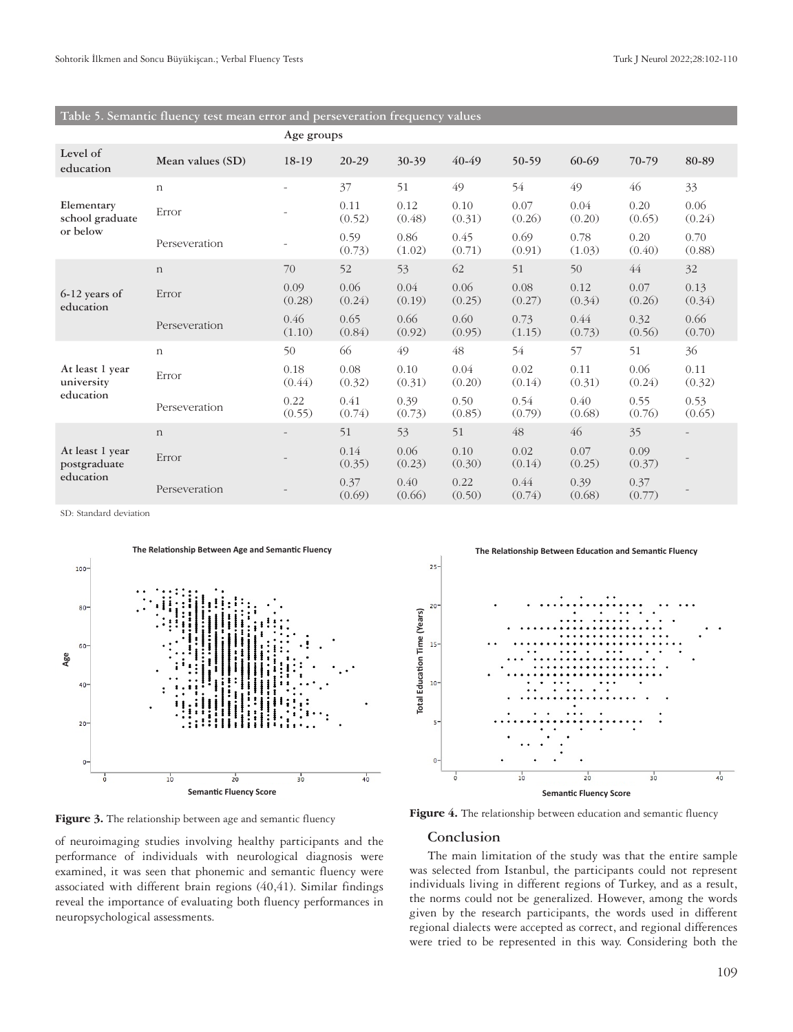# **Table 5. Semantic fluency test mean error and perseveration frequency values**

|                                              |                  | Age groups               |                |                |                |                |                |                |                |  |
|----------------------------------------------|------------------|--------------------------|----------------|----------------|----------------|----------------|----------------|----------------|----------------|--|
| Level of<br>education                        | Mean values (SD) | 18-19                    | 20-29          | 30-39          | 40-49          | 50-59          | 60-69          | 70-79          | 80-89          |  |
| Elementary<br>school graduate                | $\,$ n           | $\overline{\phantom{a}}$ | 37             | 51             | 49             | 54             | 49             | 46             | 33             |  |
|                                              | Error            | ۰                        | 0.11<br>(0.52) | 0.12<br>(0.48) | 0.10<br>(0.31) | 0.07<br>(0.26) | 0.04<br>(0.20) | 0.20<br>(0.65) | 0.06<br>(0.24) |  |
| or below                                     | Perseveration    |                          | 0.59<br>(0.73) | 0.86<br>(1.02) | 0.45<br>(0.71) | 0.69<br>(0.91) | 0.78<br>(1.03) | 0.20<br>(0.40) | 0.70<br>(0.88) |  |
| 6-12 years of<br>education                   | $\mathbf n$      | 70                       | 52             | 53             | 62             | 51             | 50             | 44             | 32             |  |
|                                              | Error            | 0.09<br>(0.28)           | 0.06<br>(0.24) | 0.04<br>(0.19) | 0.06<br>(0.25) | 0.08<br>(0.27) | 0.12<br>(0.34) | 0.07<br>(0.26) | 0.13<br>(0.34) |  |
|                                              | Perseveration    | 0.46<br>(1.10)           | 0.65<br>(0.84) | 0.66<br>(0.92) | 0.60<br>(0.95) | 0.73<br>(1.15) | 0.44<br>(0.73) | 0.32<br>(0.56) | 0.66<br>(0.70) |  |
|                                              | $\,$ n           | 50                       | 66             | 49             | 48             | 54             | 57             | 51             | 36             |  |
| At least 1 year<br>university                | Error            | 0.18<br>(0.44)           | 0.08<br>(0.32) | 0.10<br>(0.31) | 0.04<br>(0.20) | 0.02<br>(0.14) | 0.11<br>(0.31) | 0.06<br>(0.24) | 0.11<br>(0.32) |  |
| education                                    | Perseveration    | 0.22<br>(0.55)           | 0.41<br>(0.74) | 0.39<br>(0.73) | 0.50<br>(0.85) | 0.54<br>(0.79) | 0.40<br>(0.68) | 0.55<br>(0.76) | 0.53<br>(0.65) |  |
|                                              | $\mathbf n$      |                          | 51             | 53             | 51             | 48             | 46             | 35             |                |  |
| At least 1 year<br>postgraduate<br>education | Error            |                          | 0.14<br>(0.35) | 0.06<br>(0.23) | 0.10<br>(0.30) | 0.02<br>(0.14) | 0.07<br>(0.25) | 0.09<br>(0.37) |                |  |
|                                              | Perseveration    |                          | 0.37<br>(0.69) | 0.40<br>(0.66) | 0.22<br>(0.50) | 0.44<br>(0.74) | 0.39<br>(0.68) | 0.37<br>(0.77) |                |  |

SD: Standard deviation



of neuroimaging studies involving healthy participants and the performance of individuals with neurological diagnosis were examined, it was seen that phonemic and semantic fluency were associated with different brain regions (40,41). Similar findings reveal the importance of evaluating both fluency performances in neuropsychological assessments.





# **Conclusion**

The main limitation of the study was that the entire sample was selected from Istanbul, the participants could not represent individuals living in different regions of Turkey, and as a result, the norms could not be generalized. However, among the words given by the research participants, the words used in different regional dialects were accepted as correct, and regional differences were tried to be represented in this way. Considering both the